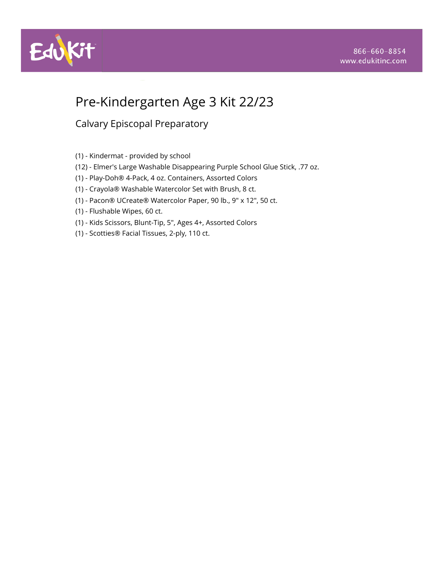



# Pre-Kindergarten Age 3 Kit 22/23

- (1) Kindermat provided by school
- (12) Elmer's Large Washable Disappearing Purple School Glue Stick, .77 oz.
- (1) Play-Doh® 4-Pack, 4 oz. Containers, Assorted Colors
- (1) Crayola® Washable Watercolor Set with Brush, 8 ct.
- (1) Pacon® UCreate® Watercolor Paper, 90 lb., 9" x 12", 50 ct.
- (1) Flushable Wipes, 60 ct.
- (1) Kids Scissors, Blunt-Tip, 5", Ages 4+, Assorted Colors
- (1) Scotties® Facial Tissues, 2-ply, 110 ct.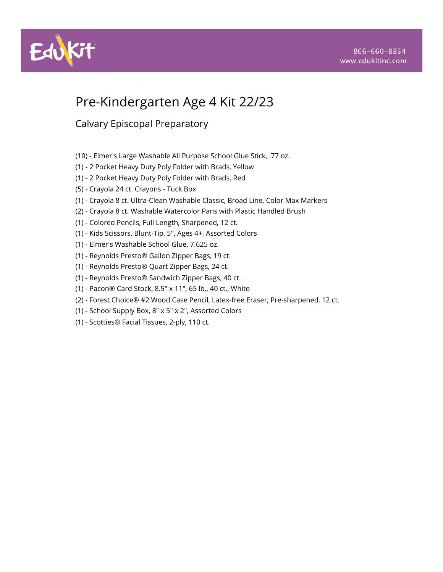

# Pre-Kindergarten Age 4 Kit 22/23

- (10) Elmer's Large Washable All Purpose School Glue Stick, .77 oz.
- (1) 2 Pocket Heavy Duty Poly Folder with Brads, Yellow
- (1) 2 Pocket Heavy Duty Poly Folder with Brads, Red
- (5) Crayola 24 ct. Crayons Tuck Box
- (1) Crayola 8 ct. Ultra-Clean Washable Classic, Broad Line, Color Max Markers
- (2) Crayola 8 ct. Washable Watercolor Pans with Plastic Handled Brush
- (1) Colored Pencils, Full Length, Sharpened, 12 ct.
- (1) Kids Scissors, Blunt-Tip, 5", Ages 4+, Assorted Colors
- (1) Elmer's Washable School Glue, 7.625 oz.
- (1) Reynolds Presto® Gallon Zipper Bags, 19 ct.
- (1) Reynolds Presto® Quart Zipper Bags, 24 ct.
- (1) Reynolds Presto® Sandwich Zipper Bags, 40 ct.
- (1) Pacon® Card Stock, 8.5" x 11", 65 lb., 40 ct., White
- (2) Forest Choice® #2 Wood Case Pencil, Latex-free Eraser, Pre-sharpened, 12 ct.
- (1) School Supply Box, 8" x 5" x 2", Assorted Colors
- (1) Scotties® Facial Tissues, 2-ply, 110 ct.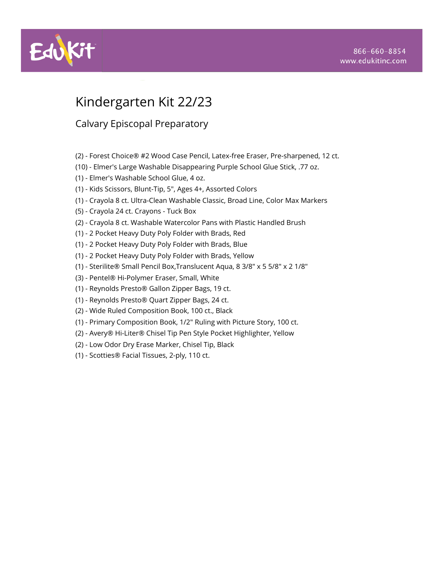

# Kindergarten Kit 22/23

- (2) Forest Choice® #2 Wood Case Pencil, Latex-free Eraser, Pre-sharpened, 12 ct.
- (10) Elmer's Large Washable Disappearing Purple School Glue Stick, .77 oz.
- (1) Elmer's Washable School Glue, 4 oz.
- (1) Kids Scissors, Blunt-Tip, 5", Ages 4+, Assorted Colors
- (1) Crayola 8 ct. Ultra-Clean Washable Classic, Broad Line, Color Max Markers
- (5) Crayola 24 ct. Crayons Tuck Box
- (2) Crayola 8 ct. Washable Watercolor Pans with Plastic Handled Brush
- (1) 2 Pocket Heavy Duty Poly Folder with Brads, Red
- (1) 2 Pocket Heavy Duty Poly Folder with Brads, Blue
- (1) 2 Pocket Heavy Duty Poly Folder with Brads, Yellow
- (1) Sterilite® Small Pencil Box,Translucent Aqua, 8 3/8" x 5 5/8" x 2 1/8"
- (3) Pentel® Hi-Polymer Eraser, Small, White
- (1) Reynolds Presto® Gallon Zipper Bags, 19 ct.
- (1) Reynolds Presto® Quart Zipper Bags, 24 ct.
- (2) Wide Ruled Composition Book, 100 ct., Black
- (1) Primary Composition Book, 1/2" Ruling with Picture Story, 100 ct.
- (2) Avery® Hi-Liter® Chisel Tip Pen Style Pocket Highlighter, Yellow
- (2) Low Odor Dry Erase Marker, Chisel Tip, Black
- (1) Scotties® Facial Tissues, 2-ply, 110 ct.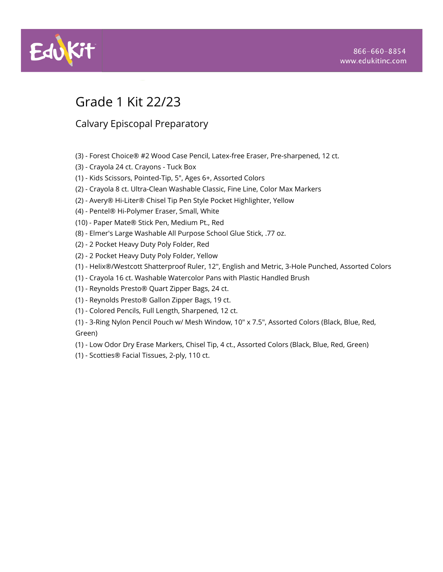

# Grade 1 Kit 22/23

- (3) Forest Choice® #2 Wood Case Pencil, Latex-free Eraser, Pre-sharpened, 12 ct.
- (3) Crayola 24 ct. Crayons Tuck Box
- (1) Kids Scissors, Pointed-Tip, 5", Ages 6+, Assorted Colors
- (2) Crayola 8 ct. Ultra-Clean Washable Classic, Fine Line, Color Max Markers
- (2) Avery® Hi-Liter® Chisel Tip Pen Style Pocket Highlighter, Yellow
- (4) Pentel® Hi-Polymer Eraser, Small, White
- (10) Paper Mate® Stick Pen, Medium Pt., Red
- (8) Elmer's Large Washable All Purpose School Glue Stick, .77 oz.
- (2) 2 Pocket Heavy Duty Poly Folder, Red
- (2) 2 Pocket Heavy Duty Poly Folder, Yellow
- (1) Helix®/Westcott Shatterproof Ruler, 12", English and Metric, 3-Hole Punched, Assorted Colors
- (1) Crayola 16 ct. Washable Watercolor Pans with Plastic Handled Brush
- (1) Reynolds Presto® Quart Zipper Bags, 24 ct.
- (1) Reynolds Presto® Gallon Zipper Bags, 19 ct.
- (1) Colored Pencils, Full Length, Sharpened, 12 ct.
- (1) 3-Ring Nylon Pencil Pouch w/ Mesh Window, 10" x 7.5", Assorted Colors (Black, Blue, Red, Green)
- (1) Low Odor Dry Erase Markers, Chisel Tip, 4 ct., Assorted Colors (Black, Blue, Red, Green)
- (1) Scotties® Facial Tissues, 2-ply, 110 ct.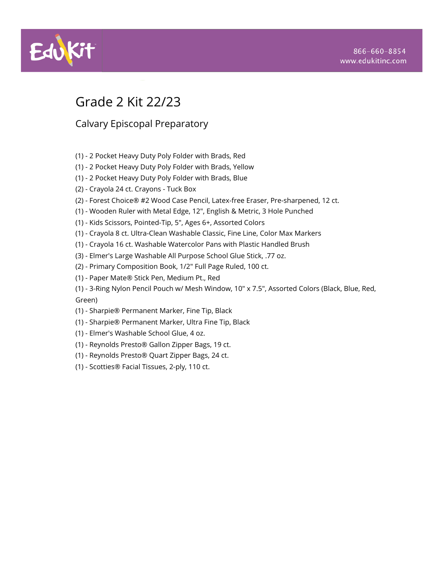

# Grade 2 Kit 22/23

- (1) 2 Pocket Heavy Duty Poly Folder with Brads, Red
- (1) 2 Pocket Heavy Duty Poly Folder with Brads, Yellow
- (1) 2 Pocket Heavy Duty Poly Folder with Brads, Blue
- (2) Crayola 24 ct. Crayons Tuck Box
- (2) Forest Choice® #2 Wood Case Pencil, Latex-free Eraser, Pre-sharpened, 12 ct.
- (1) Wooden Ruler with Metal Edge, 12", English & Metric, 3 Hole Punched
- (1) Kids Scissors, Pointed-Tip, 5", Ages 6+, Assorted Colors
- (1) Crayola 8 ct. Ultra-Clean Washable Classic, Fine Line, Color Max Markers
- (1) Crayola 16 ct. Washable Watercolor Pans with Plastic Handled Brush
- (3) Elmer's Large Washable All Purpose School Glue Stick, .77 oz.
- (2) Primary Composition Book, 1/2" Full Page Ruled, 100 ct.
- (1) Paper Mate® Stick Pen, Medium Pt., Red
- (1) 3-Ring Nylon Pencil Pouch w/ Mesh Window, 10" x 7.5", Assorted Colors (Black, Blue, Red, Green)
- (1) Sharpie® Permanent Marker, Fine Tip, Black
- (1) Sharpie® Permanent Marker, Ultra Fine Tip, Black
- (1) Elmer's Washable School Glue, 4 oz.
- (1) Reynolds Presto® Gallon Zipper Bags, 19 ct.
- (1) Reynolds Presto® Quart Zipper Bags, 24 ct.
- (1) Scotties® Facial Tissues, 2-ply, 110 ct.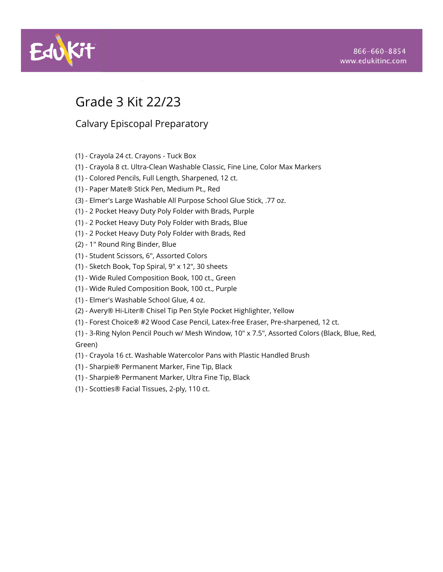

# Grade 3 Kit 22/23

- (1) Crayola 24 ct. Crayons Tuck Box
- (1) Crayola 8 ct. Ultra-Clean Washable Classic, Fine Line, Color Max Markers
- (1) Colored Pencils, Full Length, Sharpened, 12 ct.
- (1) Paper Mate® Stick Pen, Medium Pt., Red
- (3) Elmer's Large Washable All Purpose School Glue Stick, .77 oz.
- (1) 2 Pocket Heavy Duty Poly Folder with Brads, Purple
- (1) 2 Pocket Heavy Duty Poly Folder with Brads, Blue
- (1) 2 Pocket Heavy Duty Poly Folder with Brads, Red
- (2) 1" Round Ring Binder, Blue
- (1) Student Scissors, 6", Assorted Colors
- (1) Sketch Book, Top Spiral, 9" x 12", 30 sheets
- (1) Wide Ruled Composition Book, 100 ct., Green
- (1) Wide Ruled Composition Book, 100 ct., Purple
- (1) Elmer's Washable School Glue, 4 oz.
- (2) Avery® Hi-Liter® Chisel Tip Pen Style Pocket Highlighter, Yellow
- (1) Forest Choice® #2 Wood Case Pencil, Latex-free Eraser, Pre-sharpened, 12 ct.
- (1) 3-Ring Nylon Pencil Pouch w/ Mesh Window, 10" x 7.5", Assorted Colors (Black, Blue, Red, Green)
- (1) Crayola 16 ct. Washable Watercolor Pans with Plastic Handled Brush
- (1) Sharpie® Permanent Marker, Fine Tip, Black
- (1) Sharpie® Permanent Marker, Ultra Fine Tip, Black
- (1) Scotties® Facial Tissues, 2-ply, 110 ct.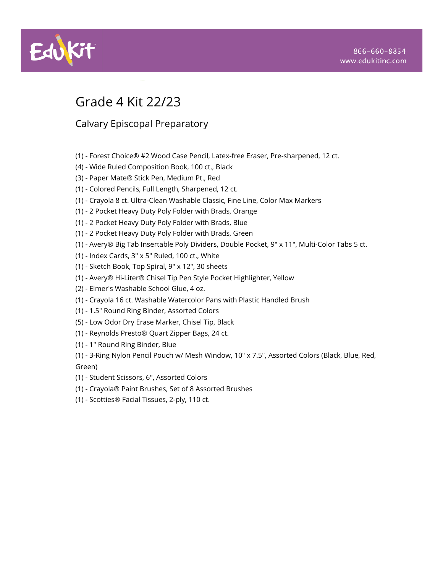

# Grade 4 Kit 22/23

- (1) Forest Choice® #2 Wood Case Pencil, Latex-free Eraser, Pre-sharpened, 12 ct.
- (4) Wide Ruled Composition Book, 100 ct., Black
- (3) Paper Mate® Stick Pen, Medium Pt., Red
- (1) Colored Pencils, Full Length, Sharpened, 12 ct.
- (1) Crayola 8 ct. Ultra-Clean Washable Classic, Fine Line, Color Max Markers
- (1) 2 Pocket Heavy Duty Poly Folder with Brads, Orange
- (1) 2 Pocket Heavy Duty Poly Folder with Brads, Blue
- (1) 2 Pocket Heavy Duty Poly Folder with Brads, Green
- (1) Avery® Big Tab Insertable Poly Dividers, Double Pocket, 9" x 11", Multi-Color Tabs 5 ct.
- (1) Index Cards, 3" x 5" Ruled, 100 ct., White
- (1) Sketch Book, Top Spiral, 9" x 12", 30 sheets
- (1) Avery® Hi-Liter® Chisel Tip Pen Style Pocket Highlighter, Yellow
- (2) Elmer's Washable School Glue, 4 oz.
- (1) Crayola 16 ct. Washable Watercolor Pans with Plastic Handled Brush
- (1) 1.5" Round Ring Binder, Assorted Colors
- (5) Low Odor Dry Erase Marker, Chisel Tip, Black
- (1) Reynolds Presto® Quart Zipper Bags, 24 ct.
- (1) 1" Round Ring Binder, Blue
- (1) 3-Ring Nylon Pencil Pouch w/ Mesh Window, 10" x 7.5", Assorted Colors (Black, Blue, Red, Green)
- (1) Student Scissors, 6", Assorted Colors
- (1) Crayola® Paint Brushes, Set of 8 Assorted Brushes
- (1) Scotties® Facial Tissues, 2-ply, 110 ct.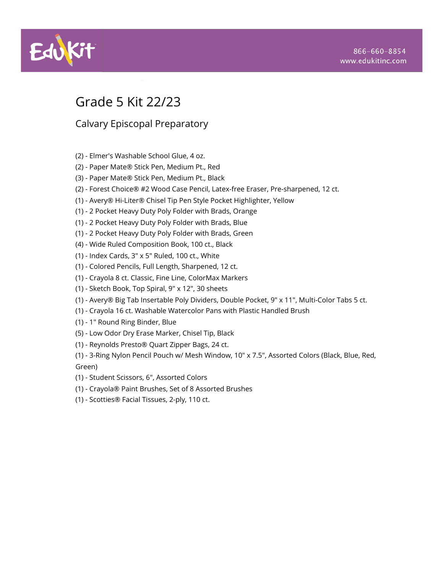

# Grade 5 Kit 22/23

- (2) Elmer's Washable School Glue, 4 oz.
- (2) Paper Mate® Stick Pen, Medium Pt., Red
- (3) Paper Mate® Stick Pen, Medium Pt., Black
- (2) Forest Choice® #2 Wood Case Pencil, Latex-free Eraser, Pre-sharpened, 12 ct.
- (1) Avery® Hi-Liter® Chisel Tip Pen Style Pocket Highlighter, Yellow
- (1) 2 Pocket Heavy Duty Poly Folder with Brads, Orange
- (1) 2 Pocket Heavy Duty Poly Folder with Brads, Blue
- (1) 2 Pocket Heavy Duty Poly Folder with Brads, Green
- (4) Wide Ruled Composition Book, 100 ct., Black
- (1) Index Cards, 3" x 5" Ruled, 100 ct., White
- (1) Colored Pencils, Full Length, Sharpened, 12 ct.
- (1) Crayola 8 ct. Classic, Fine Line, ColorMax Markers
- (1) Sketch Book, Top Spiral, 9" x 12", 30 sheets
- (1) Avery® Big Tab Insertable Poly Dividers, Double Pocket, 9" x 11", Multi-Color Tabs 5 ct.
- (1) Crayola 16 ct. Washable Watercolor Pans with Plastic Handled Brush
- (1) 1" Round Ring Binder, Blue
- (5) Low Odor Dry Erase Marker, Chisel Tip, Black
- (1) Reynolds Presto® Quart Zipper Bags, 24 ct.
- (1) 3-Ring Nylon Pencil Pouch w/ Mesh Window, 10" x 7.5", Assorted Colors (Black, Blue, Red, Green)
- (1) Student Scissors, 6", Assorted Colors
- (1) Crayola® Paint Brushes, Set of 8 Assorted Brushes
- (1) Scotties® Facial Tissues, 2-ply, 110 ct.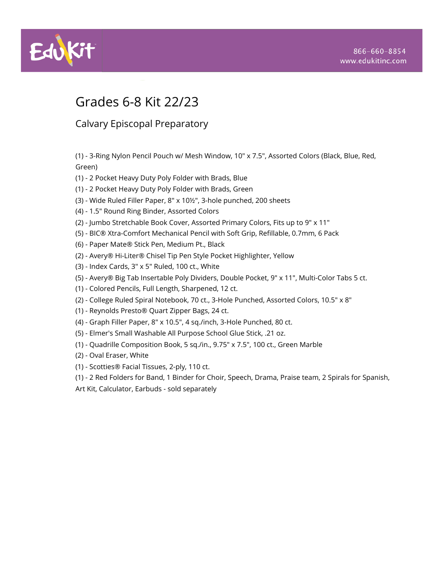

# Grades 6-8 Kit 22/23

Calvary Episcopal Preparatory

(1) - 3-Ring Nylon Pencil Pouch w/ Mesh Window, 10" x 7.5", Assorted Colors (Black, Blue, Red, Green)

- (1) 2 Pocket Heavy Duty Poly Folder with Brads, Blue
- (1) 2 Pocket Heavy Duty Poly Folder with Brads, Green
- (3) Wide Ruled Filler Paper, 8" x 10½", 3-hole punched, 200 sheets
- (4) 1.5" Round Ring Binder, Assorted Colors
- (2) Jumbo Stretchable Book Cover, Assorted Primary Colors, Fits up to 9" x 11"
- (5) BIC® Xtra-Comfort Mechanical Pencil with Soft Grip, Refillable, 0.7mm, 6 Pack
- (6) Paper Mate® Stick Pen, Medium Pt., Black
- (2) Avery® Hi-Liter® Chisel Tip Pen Style Pocket Highlighter, Yellow
- (3) Index Cards, 3" x 5" Ruled, 100 ct., White
- (5) Avery® Big Tab Insertable Poly Dividers, Double Pocket, 9" x 11", Multi-Color Tabs 5 ct.
- (1) Colored Pencils, Full Length, Sharpened, 12 ct.
- (2) College Ruled Spiral Notebook, 70 ct., 3-Hole Punched, Assorted Colors, 10.5" x 8"
- (1) Reynolds Presto® Quart Zipper Bags, 24 ct.
- (4) Graph Filler Paper, 8" x 10.5", 4 sq./inch, 3-Hole Punched, 80 ct.
- (5) Elmer's Small Washable All Purpose School Glue Stick, .21 oz.
- (1) Quadrille Composition Book, 5 sq./in., 9.75" x 7.5", 100 ct., Green Marble
- (2) Oval Eraser, White
- (1) Scotties® Facial Tissues, 2-ply, 110 ct.
- (1) 2 Red Folders for Band, 1 Binder for Choir, Speech, Drama, Praise team, 2 Spirals for Spanish,
- Art Kit, Calculator, Earbuds sold separately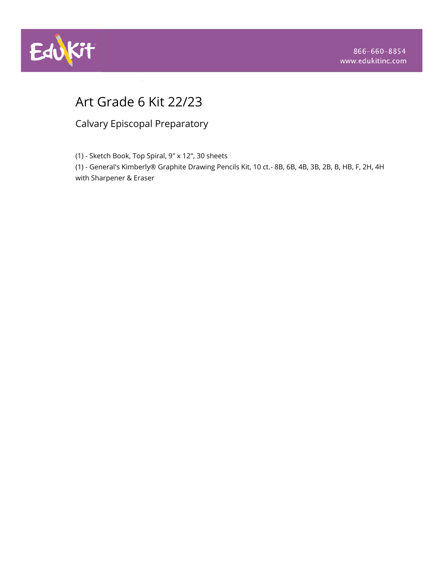

# Art Grade 6 Kit 22/23

Calvary Episcopal Preparatory

(1) - Sketch Book, Top Spiral, 9" x 12", 30 sheets

(1) - General's Kimberly® Graphite Drawing Pencils Kit, 10 ct.- 8B, 6B, 4B, 3B, 2B, B, HB, F, 2H, 4H with Sharpener & Eraser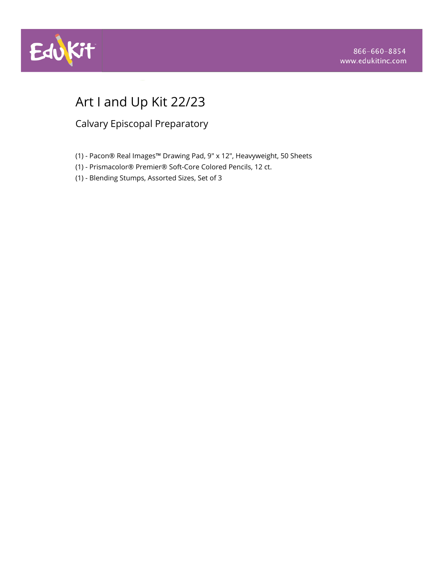

# Art I and Up Kit 22/23

- (1) Pacon® Real Images™ Drawing Pad, 9" x 12", Heavyweight, 50 Sheets
- (1) Prismacolor® Premier® Soft-Core Colored Pencils, 12 ct.
- (1) Blending Stumps, Assorted Sizes, Set of 3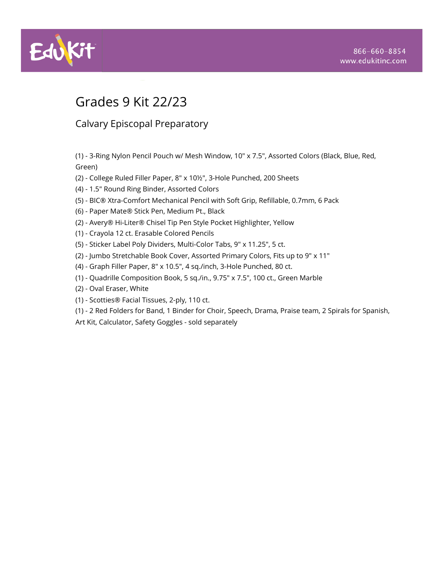

# Grades 9 Kit 22/23

Calvary Episcopal Preparatory

(1) - 3-Ring Nylon Pencil Pouch w/ Mesh Window, 10" x 7.5", Assorted Colors (Black, Blue, Red, Green)

- (2) College Ruled Filler Paper, 8" x 10½", 3-Hole Punched, 200 Sheets
- (4) 1.5" Round Ring Binder, Assorted Colors
- (5) BIC® Xtra-Comfort Mechanical Pencil with Soft Grip, Refillable, 0.7mm, 6 Pack
- (6) Paper Mate® Stick Pen, Medium Pt., Black
- (2) Avery® Hi-Liter® Chisel Tip Pen Style Pocket Highlighter, Yellow
- (1) Crayola 12 ct. Erasable Colored Pencils
- (5) Sticker Label Poly Dividers, Multi-Color Tabs, 9" x 11.25", 5 ct.
- (2) Jumbo Stretchable Book Cover, Assorted Primary Colors, Fits up to 9" x 11"
- (4) Graph Filler Paper, 8" x 10.5", 4 sq./inch, 3-Hole Punched, 80 ct.
- (1) Quadrille Composition Book, 5 sq./in., 9.75" x 7.5", 100 ct., Green Marble
- (2) Oval Eraser, White
- (1) Scotties® Facial Tissues, 2-ply, 110 ct.
- (1) 2 Red Folders for Band, 1 Binder for Choir, Speech, Drama, Praise team, 2 Spirals for Spanish,

Art Kit, Calculator, Safety Goggles - sold separately